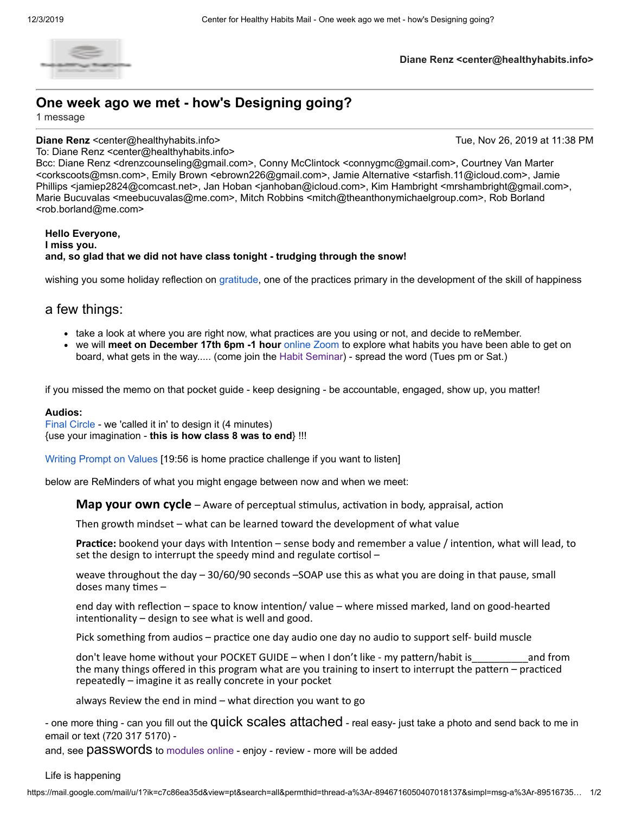

### **Diane Renz <center@healthyhabits.info>**

# **One week ago we met - how's Designing going?**

1 message

**Diane Renz** <center@healthyhabits.info> Tue, Nov 26, 2019 at 11:38 PM

To: Diane Renz <center@healthyhabits.info> Bcc: Diane Renz <drenzcounseling@gmail.com>, Conny McClintock <connygmc@gmail.com>, Courtney Van Marter <corkscoots@msn.com>, Emily Brown <ebrown226@gmail.com>, Jamie Alternative <starfish.11@icloud.com>, Jamie Phillips <jamiep2824@comcast.net>, Jan Hoban <janhoban@icloud.com>, Kim Hambright <mrshambright@gmail.com>, Marie Bucuvalas <meebucuvalas@me.com>, Mitch Robbins <mitch@theanthonymichaelgroup.com>, Rob Borland <rob.borland@me.com>

### **Hello Everyone, I miss you. and, so glad that we did not have class tonight - trudging through the snow!**

wishing you some holiday reflection on [gratitude,](https://youtu.be/zSt7k_q_qRU) one of the practices primary in the development of the skill of happiness

## a few things:

- take a look at where you are right now, what practices are you using or not, and decide to reMember.
- we will **meet on December 17th 6pm -1 hour** [online Zoom t](https://zoom.us/j/129386817?pwd=VVZUVzNyMkZSYlY4UVVObUVBQ09OQT09)o explore what habits you have been able to get on board, what gets in the way..... (come join the [Habit Seminar\)](https://www.centerforhealthyhabits.com/event-info/habit-change-seminar-saturday) - spread the word (Tues pm or Sat.)

if you missed the memo on that pocket guide - keep designing - be accountable, engaged, show up, you matter!

### **Audios:**

[Final Circle](https://soundcloud.com/user-892700934/circle-design-in-mind/s-BFUQ3) - we 'called it in' to design it (4 minutes) {use your imagination - **this is how class 8 was to end**} !!!

[Writing Prompt on Values](https://soundcloud.com/user-892700934/intentional-values-lead/s-ys42u) [19:56 is home practice challenge if you want to listen]

below are ReMinders of what you might engage between now and when we meet:

**Map your own cycle** – Aware of perceptual stimulus, activation in body, appraisal, action

Then growth mindset – what can be learned toward the development of what value

**Practice:** bookend your days with Intention – sense body and remember a value / intention, what will lead, to set the design to interrupt the speedy mind and regulate cortisol  $-$ 

weave throughout the day – 30/60/90 seconds –SOAP use this as what you are doing in that pause, small doses many times  $-$ 

end day with reflection – space to know intention/ value – where missed marked, land on good-hearted  $intertrionality - design to see what is well and good.$ 

Pick something from audios - practice one day audio one day no audio to support self- build muscle

don't leave home without your POCKET GUIDE – when I don't like - my pattern/habit is and from the many things offered in this program what are you training to insert to interrupt the pattern  $-$  practiced repeatedly – imagine it as really concrete in your pocket

always Review the end in mind  $-$  what direction you want to go

- one more thing - can you fill out the Quick Scales attached - real easy- just take a photo and send back to me in email or text (720 317 5170) -

and, see **passwords** to [modules online -](https://www.centerforhealthyhabits.com/manual) enjoy - review - more will be added

### Life is happening